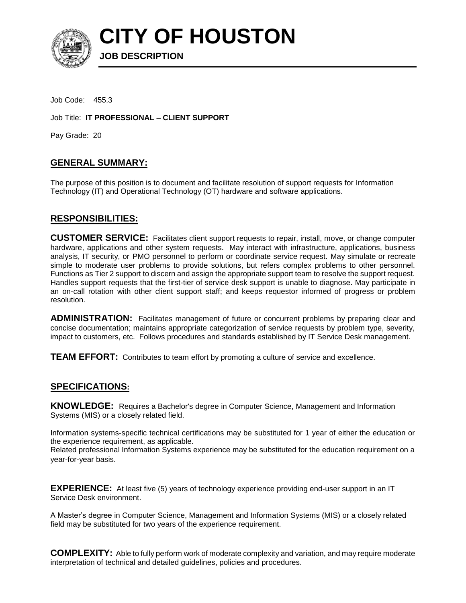

**CITY OF HOUSTON**

Job Code: 455.3

Job Title: **IT PROFESSIONAL – CLIENT SUPPORT** 

**JOB DESCRIPTION** 

Pay Grade: 20

## **GENERAL SUMMARY:**

The purpose of this position is to document and facilitate resolution of support requests for Information Technology (IT) and Operational Technology (OT) hardware and software applications.

## **RESPONSIBILITIES:**

**CUSTOMER SERVICE:** Facilitates client support requests to repair, install, move, or change computer hardware, applications and other system requests. May interact with infrastructure, applications, business analysis, IT security, or PMO personnel to perform or coordinate service request. May simulate or recreate simple to moderate user problems to provide solutions, but refers complex problems to other personnel. Functions as Tier 2 support to discern and assign the appropriate support team to resolve the support request. Handles support requests that the first-tier of service desk support is unable to diagnose. May participate in an on-call rotation with other client support staff; and keeps requestor informed of progress or problem resolution.

**ADMINISTRATION:** Facilitates management of future or concurrent problems by preparing clear and concise documentation; maintains appropriate categorization of service requests by problem type, severity, impact to customers, etc. Follows procedures and standards established by IT Service Desk management.

**TEAM EFFORT:** Contributes to team effort by promoting a culture of service and excellence.

## **SPECIFICATIONS:**

**KNOWLEDGE:** Requires a Bachelor's degree in Computer Science, Management and Information Systems (MIS) or a closely related field.

Information systems-specific technical certifications may be substituted for 1 year of either the education or the experience requirement, as applicable.

Related professional Information Systems experience may be substituted for the education requirement on a year-for-year basis.

**EXPERIENCE:** At least five (5) years of technology experience providing end-user support in an IT Service Desk environment.

A Master's degree in Computer Science, Management and Information Systems (MIS) or a closely related field may be substituted for two years of the experience requirement.

**COMPLEXITY:** Able to fully perform work of moderate complexity and variation, and may require moderate interpretation of technical and detailed guidelines, policies and procedures.